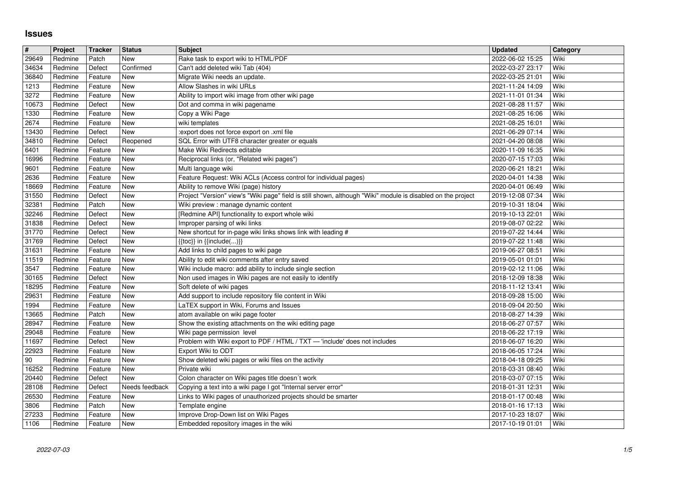## **Issues**

| $\#$           | Project            | <b>Tracker</b>     | <b>Status</b>     | <b>Subject</b>                                                                                                              | <b>Updated</b>                       | Category     |
|----------------|--------------------|--------------------|-------------------|-----------------------------------------------------------------------------------------------------------------------------|--------------------------------------|--------------|
| 29649          | Redmine            | Patch              | <b>New</b>        | Rake task to export wiki to HTML/PDF                                                                                        | 2022-06-02 15:25                     | Wiki         |
| 34634          | Redmine            | Defect             | Confirmed<br>New  | Can't add deleted wiki Tab (404)<br>Migrate Wiki needs an update.                                                           | 2022-03-27 23:17                     | Wiki<br>Wiki |
| 36840<br>1213  | Redmine<br>Redmine | Feature<br>Feature | New               | Allow Slashes in wiki URLs                                                                                                  | 2022-03-25 21:01<br>2021-11-24 14:09 | Wiki         |
| 3272           | Redmine            | Feature            | New               | Ability to import wiki image from other wiki page                                                                           | 2021-11-01 01:34                     | Wiki         |
| 10673          | Redmine            | Defect             | New               | Dot and comma in wiki pagename                                                                                              | 2021-08-28 11:57                     | Wiki         |
| 1330           | Redmine            | Feature            | New               | Copy a Wiki Page                                                                                                            | 2021-08-25 16:06                     | Wiki         |
| 2674           | Redmine            | Feature            | New<br><b>New</b> | wiki templates<br>:export does not force export on .xml file                                                                | 2021-08-25 16:01                     | Wiki<br>Wiki |
| 13430<br>34810 | Redmine<br>Redmine | Defect<br>Defect   | Reopened          | SQL Error with UTF8 character greater or equals                                                                             | 2021-06-29 07:14<br>2021-04-20 08:08 | Wiki         |
| 6401           | Redmine            | Feature            | New               | Make Wiki Redirects editable                                                                                                | 2020-11-09 16:35                     | Wiki         |
| 16996          | Redmine            | Feature            | New               | Reciprocal links (or, "Related wiki pages")                                                                                 | 2020-07-15 17:03                     | Wiki         |
| 9601           | Redmine            | Feature            | New               | Multi language wiki                                                                                                         | 2020-06-21 18:21                     | Wiki         |
| 2636<br>18669  | Redmine<br>Redmine | Feature<br>Feature | New<br>New        | Feature Request: Wiki ACLs (Access control for individual pages)<br>Ability to remove Wiki (page) history                   | 2020-04-01 14:38<br>2020-04-01 06:49 | Wiki<br>Wiki |
| 31550          | Redmine            | Defect             | New               | Project "Version" view's "Wiki page" field is still shown, although "Wiki" module is disabled on the project                | 2019-12-08 07:34                     | Wiki         |
| 32381          | Redmine            | Patch              | New               | Wiki preview : manage dynamic content                                                                                       | 2019-10-31 18:04                     | Wiki         |
| 32246          | Redmine            | Defect             | New               | [Redmine API] functionality to export whole wiki                                                                            | 2019-10-13 22:01                     | Wiki         |
| 31838          | Redmine            | Defect             | New               | Improper parsing of wiki links                                                                                              | 2019-08-07 02:22                     | Wiki         |
| 31770<br>31769 | Redmine<br>Redmine | Defect<br>Defect   | New<br>New        | New shortcut for in-page wiki links shows link with leading #<br>$\{ \{ \text{toc} \} \}$ in $\{ \{ \text{include} ()\} \}$ | 2019-07-22 14:44<br>2019-07-22 11:48 | Wiki<br>Wiki |
| 31631          | Redmine            | Feature            | New               | Add links to child pages to wiki page                                                                                       | 2019-06-27 08:51                     | Wiki         |
| 11519          | Redmine            | Feature            | New               | Ability to edit wiki comments after entry saved                                                                             | 2019-05-01 01:01                     | Wiki         |
| 3547           | Redmine            | Feature            | New               | Wiki include macro: add ability to include single section                                                                   | 2019-02-12 11:06                     | Wiki         |
| 30165          | Redmine            | Defect             | New               | Non used images in Wiki pages are not easily to identify                                                                    | 2018-12-09 18:38                     | Wiki         |
| 18295<br>29631 | Redmine<br>Redmine | Feature<br>Feature | New<br>New        | Soft delete of wiki pages<br>Add support to include repository file content in Wiki                                         | 2018-11-12 13:41<br>2018-09-28 15:00 | Wiki<br>Wiki |
| 1994           | Redmine            | Feature            | New               | LaTEX support in Wiki, Forums and Issues                                                                                    | 2018-09-04 20:50                     | Wiki         |
| 13665          | Redmine            | Patch              | New               | atom available on wiki page footer                                                                                          | 2018-08-27 14:39                     | Wiki         |
| 28947          | Redmine            | Feature            | New               | Show the existing attachments on the wiki editing page                                                                      | 2018-06-27 07:57                     | Wiki         |
| 29048          | Redmine            | Feature            | New               | Wiki page permission level                                                                                                  | 2018-06-22 17:19                     | Wiki         |
| 11697          | Redmine            | Defect             | New<br>New        | Problem with Wiki export to PDF / HTML / TXT - 'include' does not includes                                                  | 2018-06-07 16:20                     | Wiki<br>Wiki |
| 22923<br>90    | Redmine<br>Redmine | Feature<br>Feature | New               | Export Wiki to ODT<br>Show deleted wiki pages or wiki files on the activity                                                 | 2018-06-05 17:24<br>2018-04-18 09:25 | Wiki         |
| 16252          | Redmine            | Feature            | New               | Private wiki                                                                                                                | 2018-03-31 08:40                     | Wiki         |
| 20440          | Redmine            | Defect             | New               | Colon character on Wiki pages title doesn't work                                                                            | 2018-03-07 07:15                     | Wiki         |
| 28108          | Redmine            | Defect             | Needs feedback    | Copying a text into a wiki page I got "Internal server error"                                                               | 2018-01-31 12:31                     | Wiki         |
| 26530<br>3806  | Redmine<br>Redmine | Feature<br>Patch   | New<br>New        | Links to Wiki pages of unauthorized projects should be smarter<br>Template engine                                           | 2018-01-17 00:48<br>2018-01-16 17:13 | Wiki<br>Wiki |
| 27233          | Redmine            | Feature            | New               | Improve Drop-Down list on Wiki Pages                                                                                        | 2017-10-23 18:07                     | Wiki         |
| 1106           | Redmine            | Feature            | New               | Embedded repository images in the wiki                                                                                      | 2017-10-19 01:01                     | Wiki         |
|                |                    |                    |                   |                                                                                                                             |                                      |              |
|                |                    |                    |                   |                                                                                                                             |                                      |              |
|                |                    |                    |                   |                                                                                                                             |                                      |              |
|                |                    |                    |                   |                                                                                                                             |                                      |              |
|                |                    |                    |                   |                                                                                                                             |                                      |              |
|                |                    |                    |                   |                                                                                                                             |                                      |              |
|                |                    |                    |                   |                                                                                                                             |                                      |              |
|                |                    |                    |                   |                                                                                                                             |                                      |              |
|                |                    |                    |                   |                                                                                                                             |                                      |              |
|                |                    |                    |                   |                                                                                                                             |                                      |              |
|                |                    |                    |                   |                                                                                                                             |                                      |              |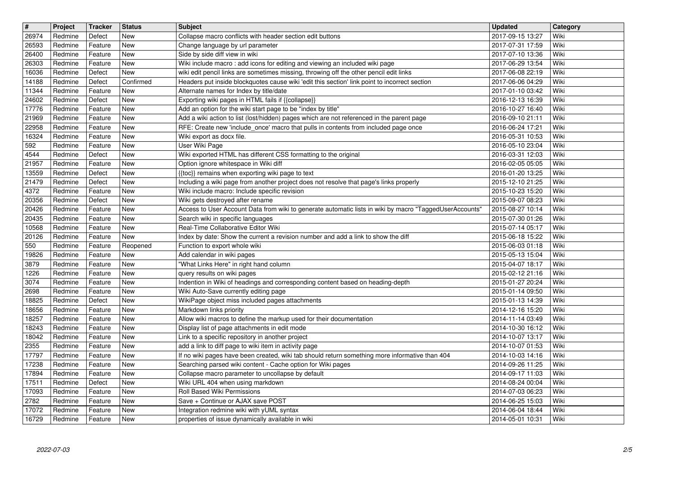| $\overline{\mathbf{t}}$ | Project            | Tracker            | <b>Status</b>            | <b>Subject</b>                                                                                                                                                                          | <b>Updated</b>                       | Category     |
|-------------------------|--------------------|--------------------|--------------------------|-----------------------------------------------------------------------------------------------------------------------------------------------------------------------------------------|--------------------------------------|--------------|
| 26974<br>26593          | Redmine<br>Redmine | Defect<br>Feature  | New<br><b>New</b>        | Collapse macro conflicts with header section edit buttons<br>Change language by url parameter                                                                                           | 2017-09-15 13:27<br>2017-07-31 17:59 | Wiki<br>Wiki |
| 26400                   | Redmine            | Feature            | New                      | Side by side diff view in wiki                                                                                                                                                          | 2017-07-10 13:36                     | Wiki         |
| 26303                   | Redmine            | Feature            | <b>New</b>               | Wiki include macro: add icons for editing and viewing an included wiki page                                                                                                             | 2017-06-29 13:54                     | Wiki         |
| 16036<br>14188          | Redmine<br>Redmine | Defect<br>Defect   | <b>New</b><br>Confirmed  | wiki edit pencil links are sometimes missing, throwing off the other pencil edit links<br>Headers put inside blockquotes cause wiki 'edit this section' link point to incorrect section | 2017-06-08 22:19<br>2017-06-06 04:29 | Wiki<br>Wiki |
| 11344                   | Redmine            | Feature            | <b>New</b>               | Alternate names for Index by title/date                                                                                                                                                 | 2017-01-10 03:42                     | Wiki         |
| 24602<br>17776          | Redmine<br>Redmine | Defect             | New<br>New               | Exporting wiki pages in HTML fails if {{collapse}}<br>Add an option for the wiki start page to be "index by title"                                                                      | 2016-12-13 16:39                     | Wiki<br>Wiki |
| 21969                   | Redmine            | Feature<br>Feature | <b>New</b>               | Add a wiki action to list (lost/hidden) pages which are not referenced in the parent page                                                                                               | 2016-10-27 16:40<br>2016-09-10 21:11 | Wiki         |
| 22958                   | Redmine            | Feature            | <b>New</b>               | RFE: Create new 'include_once' macro that pulls in contents from included page once                                                                                                     | 2016-06-24 17:21                     | Wiki         |
| 16324<br>592            | Redmine<br>Redmine | Feature<br>Feature | <b>New</b><br>New        | Wiki export as docx file.<br>User Wiki Page                                                                                                                                             | 2016-05-31 10:53<br>2016-05-10 23:04 | Wiki<br>Wiki |
| 4544                    | Redmine            | Defect             | <b>New</b>               | Wiki exported HTML has different CSS formatting to the original                                                                                                                         | 2016-03-31 12:03                     | Wiki         |
| 21957                   | Redmine            | Feature            | <b>New</b>               | Option ignore whitespace in Wiki diff                                                                                                                                                   | 2016-02-05 05:05                     | Wiki         |
| 13559<br>21479          | Redmine<br>Redmine | Defect<br>Defect   | New<br>New               | {{toc}} remains when exporting wiki page to text<br>Including a wiki page from another project does not resolve that page's links properly                                              | 2016-01-20 13:25<br>2015-12-10 21:25 | Wiki<br>Wiki |
| 4372                    | Redmine            | Feature            | New                      | Wiki include macro: Include specific revision                                                                                                                                           | 2015-10-23 15:20                     | Wiki         |
| 20356                   | Redmine            | Defect             | <b>New</b>               | Wiki gets destroyed after rename                                                                                                                                                        | 2015-09-07 08:23                     | Wiki         |
| 20426<br>20435          | Redmine<br>Redmine | Feature<br>Feature | New<br>New               | Access to User Account Data from wiki to generate automatic lists in wiki by macro "TaggedUserAccounts"<br>Search wiki in specific languages                                            | 2015-08-27 10:14<br>2015-07-30 01:26 | Wiki<br>Wiki |
| 10568                   | Redmine            | Feature            | <b>New</b>               | Real-Time Collaborative Editor Wiki                                                                                                                                                     | 2015-07-14 05:17                     | Wiki         |
| 20126<br>550            | Redmine<br>Redmine | Feature            | <b>New</b><br>Reopened   | Index by date: Show the current a revision number and add a link to show the diff<br>Function to export whole wiki                                                                      | 2015-06-18 15:22                     | Wiki<br>Wiki |
| 19826                   | Redmine            | Feature<br>Feature | New                      | Add calendar in wiki pages                                                                                                                                                              | 2015-06-03 01:18<br>2015-05-13 15:04 | Wiki         |
| 3879                    | Redmine            | Feature            | New                      | "What Links Here" in right hand column                                                                                                                                                  | 2015-04-07 18:17                     | Wiki         |
| 1226<br>3074            | Redmine<br>Redmine | Feature<br>Feature | New<br>New               | query results on wiki pages<br>Indention in Wiki of headings and corresponding content based on heading-depth                                                                           | 2015-02-12 21:16<br>2015-01-27 20:24 | Wiki<br>Wiki |
| 2698                    | Redmine            | Feature            | New                      | Wiki Auto-Save currently editing page                                                                                                                                                   | 2015-01-14 09:50                     | Wiki         |
| 18825                   | Redmine            | Defect             | <b>New</b>               | WikiPage object miss included pages attachments                                                                                                                                         | 2015-01-13 14:39                     | Wiki         |
| 18656<br>18257          | Redmine<br>Redmine | Feature<br>Feature | <b>New</b><br><b>New</b> | Markdown links priority<br>Allow wiki macros to define the markup used for their documentation                                                                                          | 2014-12-16 15:20<br>2014-11-14 03:49 | Wiki<br>Wiki |
| 18243                   | Redmine            | Feature            | New                      | Display list of page attachments in edit mode                                                                                                                                           | 2014-10-30 16:12                     | Wiki         |
| 18042                   | Redmine            | Feature            | New                      | Link to a specific repository in another project                                                                                                                                        | 2014-10-07 13:17                     | Wiki         |
| 2355<br>17797           | Redmine<br>Redmine | Feature<br>Feature | New<br>New               | add a link to diff page to wiki item in activity page<br>If no wiki pages have been created, wiki tab should return something more informative than 404                                 | 2014-10-07 01:53<br>2014-10-03 14:16 | Wiki<br>Wiki |
| 17238                   | Redmine            | Feature            | <b>New</b>               | Searching parsed wiki content - Cache option for Wiki pages                                                                                                                             | 2014-09-26 11:25                     | Wiki         |
| 17894                   | Redmine            | Feature            | New                      | Collapse macro parameter to uncollapse by default                                                                                                                                       | 2014-09-17 11:03                     | Wiki         |
| 17511<br>17093          | Redmine<br>Redmine | Defect<br>Feature  | New<br><b>New</b>        | Wiki URL 404 when using markdown<br>Roll Based Wiki Permissions                                                                                                                         | 2014-08-24 00:04<br>2014-07-03 06:23 | Wiki<br>Wiki |
| 2782                    | Redmine            | Feature            | New                      | Save + Continue or AJAX save POST                                                                                                                                                       | 2014-06-25 15:03                     | Wiki         |
| 17072<br>16729          | Redmine<br>Redmine | Feature<br>Feature | New<br>New               | Integration redmine wiki with yUML syntax<br>properties of issue dynamically available in wiki                                                                                          | 2014-06-04 18:44<br>2014-05-01 10:31 | Wiki<br>Wiki |
|                         |                    |                    |                          |                                                                                                                                                                                         |                                      |              |
|                         |                    |                    |                          |                                                                                                                                                                                         |                                      |              |
|                         |                    |                    |                          |                                                                                                                                                                                         |                                      |              |
|                         |                    |                    |                          |                                                                                                                                                                                         |                                      |              |
|                         |                    |                    |                          |                                                                                                                                                                                         |                                      |              |
|                         |                    |                    |                          |                                                                                                                                                                                         |                                      |              |
|                         |                    |                    |                          |                                                                                                                                                                                         |                                      |              |
|                         |                    |                    |                          |                                                                                                                                                                                         |                                      |              |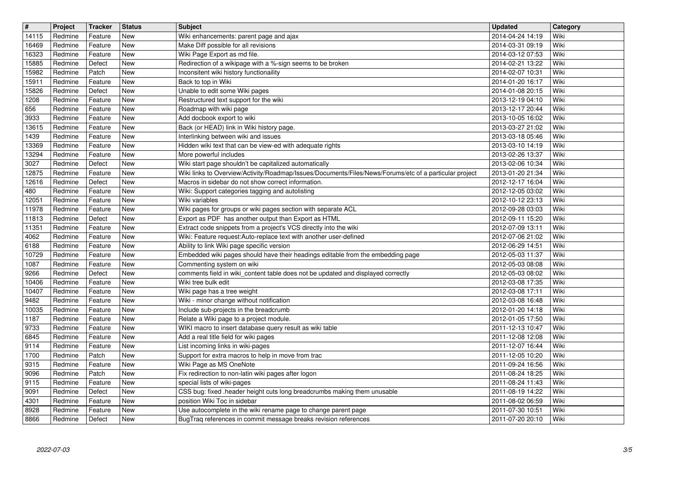|                | Project            | <b>Tracker</b>     | <b>Status</b> | <b>Subject</b>                                                                                                            | <b>Updated</b>                       | Category     |
|----------------|--------------------|--------------------|---------------|---------------------------------------------------------------------------------------------------------------------------|--------------------------------------|--------------|
| 14115<br>16469 | Redmine<br>Redmine | Feature<br>Feature | New<br>New    | Wiki enhancements: parent page and ajax<br>Make Diff possible for all revisions                                           | 2014-04-24 14:19<br>2014-03-31 09:19 | Wiki<br>Wiki |
| 16323          | Redmine            | Feature            | New           | Wiki Page Export as md file.                                                                                              | 2014-03-12 07:53                     | Wiki         |
| 15885          | Redmine            | Defect             | New           | Redirection of a wikipage with a %-sign seems to be broken                                                                | 2014-02-21 13:22                     | Wiki         |
| 15982          | Redmine            | Patch              | New           | Inconsitent wiki history functionaility                                                                                   | 2014-02-07 10:31                     | Wiki         |
| 15911<br>15826 | Redmine<br>Redmine | Feature<br>Defect  | New<br>New    | Back to top in Wiki<br>Unable to edit some Wiki pages                                                                     | 2014-01-20 16:17<br>2014-01-08 20:15 | Wiki<br>Wiki |
| 1208           | Redmine            | Feature            | New           | Restructured text support for the wiki                                                                                    | 2013-12-19 04:10                     | Wiki         |
| 656            | Redmine            | Feature            | New           | Roadmap with wiki page                                                                                                    | 2013-12-17 20:44                     | Wiki         |
| 3933<br>13615  | Redmine<br>Redmine | Feature<br>Feature | New<br>New    | Add docbook export to wiki<br>Back (or HEAD) link in Wiki history page.                                                   | 2013-10-05 16:02<br>2013-03-27 21:02 | Wiki<br>Wiki |
| 1439           | Redmine            | Feature            | New           | Interlinking between wiki and issues                                                                                      | 2013-03-18 05:46                     | Wiki         |
| 13369          | Redmine            | Feature            | New           | Hidden wiki text that can be view-ed with adequate rights                                                                 | 2013-03-10 14:19                     | Wiki         |
| 13294<br>3027  | Redmine<br>Redmine | Feature<br>Defect  | New<br>New    | More powerful includes<br>Wiki start page shouldn't be capitalized automatically                                          | 2013-02-26 13:37<br>2013-02-06 10:34 | Wiki<br>Wiki |
| 12875          | Redmine            | Feature            | New           | Wiki links to Overview/Activity/Roadmap/Issues/Documents/Files/News/Forums/etc of a particular project                    | 2013-01-20 21:34                     | Wiki         |
| 12616          | Redmine            | Defect             | New           | Macros in sidebar do not show correct information.                                                                        | 2012-12-17 16:04                     | Wiki         |
| 480<br>12051   | Redmine<br>Redmine | Feature<br>Feature | New<br>New    | Wiki: Support categories tagging and autolisting<br>Wiki variables                                                        | 2012-12-05 03:02<br>2012-10-12 23:13 | Wiki<br>Wiki |
| 11978          | Redmine            | Feature            | New           | Wiki pages for groups or wiki pages section with separate ACL                                                             | 2012-09-28 03:03                     | Wiki         |
| 11813<br>11351 | Redmine<br>Redmine | Defect<br>Feature  | New<br>New    | Export as PDF has another output than Export as HTML<br>Extract code snippets from a project's VCS directly into the wiki | 2012-09-11 15:20<br>2012-07-09 13:11 | Wiki<br>Wiki |
| 4062           | Redmine            | Feature            | New           | Wiki: Feature request:Auto-replace text with another user-defined                                                         | 2012-07-06 21:02                     | Wiki         |
| 6188           | Redmine            | Feature            | New           | Ability to link Wiki page specific version                                                                                | 2012-06-29 14:51                     | Wiki         |
| 10729<br>1087  | Redmine<br>Redmine | Feature<br>Feature | New<br>New    | Embedded wiki pages should have their headings editable from the embedding page<br>Commenting system on wiki              | 2012-05-03 11:37<br>2012-05-03 08:08 | Wiki<br>Wiki |
| 9266           | Redmine            | Defect             | New           | comments field in wiki_content table does not be updated and displayed correctly                                          | 2012-05-03 08:02                     | Wiki         |
| 10406          | Redmine            | Feature            | New           | Wiki tree bulk edit                                                                                                       | 2012-03-08 17:35                     | Wiki         |
| 10407<br>9482  | Redmine<br>Redmine | Feature<br>Feature | New<br>New    | Wiki page has a tree weight<br>Wiki - minor change without notification                                                   | 2012-03-08 17:11<br>2012-03-08 16:48 | Wiki<br>Wiki |
| 10035          | Redmine            | Feature            | New           | Include sub-projects in the breadcrumb                                                                                    | 2012-01-20 14:18                     | Wiki         |
| 1187           | Redmine            | Feature            | New           | Relate a Wiki page to a project module.                                                                                   | 2012-01-05 17:50                     | Wiki         |
| 9733<br>6845   | Redmine<br>Redmine | Feature<br>Feature | New<br>New    | WIKI macro to insert database query result as wiki table<br>Add a real title field for wiki pages                         | 2011-12-13 10:47<br>2011-12-08 12:08 | Wiki<br>Wiki |
| 9114           | Redmine            | Feature            | New           | List incoming links in wiki-pages                                                                                         | 2011-12-07 16:44                     | Wiki         |
| 1700           | Redmine            | Patch              | New           | Support for extra macros to help in move from trac                                                                        | 2011-12-05 10:20                     | Wiki         |
| 9315<br>9096   | Redmine<br>Redmine | Feature<br>Patch   | New<br>New    | Wiki Page as MS OneNote<br>Fix redirection to non-latin wiki pages after logon                                            | 2011-09-24 16:56<br>2011-08-24 18:25 | Wiki<br>Wiki |
| 9115           | Redmine            | Feature            | New           | special lists of wiki-pages                                                                                               | 2011-08-24 11:43                     | Wiki         |
| 9091           | Redmine            | Defect             | New           | CSS bug: fixed .header height cuts long breadcrumbs making them unusable                                                  | 2011-08-19 14:22                     | Wiki         |
| 4301<br>8928   | Redmine<br>Redmine | Feature<br>Feature | New<br>New    | position Wiki Toc in sidebar<br>Use autocomplete in the wiki rename page to change parent page                            | 2011-08-02 06:59<br>2011-07-30 10:51 | Wiki<br>Wiki |
| 8866           | Redmine            | Defect             | New           | BugTraq references in commit message breaks revision references                                                           | 2011-07-20 20:10                     | Wiki         |
|                |                    |                    |               |                                                                                                                           |                                      |              |
|                |                    |                    |               |                                                                                                                           |                                      |              |
|                |                    |                    |               |                                                                                                                           |                                      |              |
|                |                    |                    |               |                                                                                                                           |                                      |              |
|                |                    |                    |               |                                                                                                                           |                                      |              |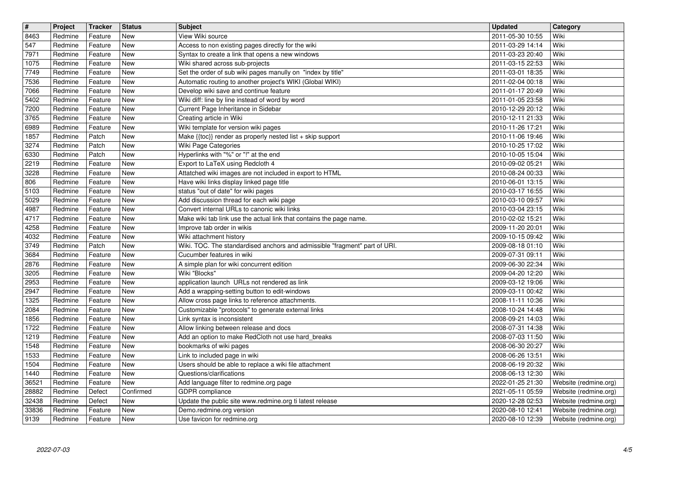| $\overline{\mathbf{H}}$ | Project            | <b>Tracker</b>     | <b>Status</b><br><b>New</b> | <b>Subject</b><br>View Wiki source                                                                                 | <b>Updated</b>                       | Category<br>Wiki                               |
|-------------------------|--------------------|--------------------|-----------------------------|--------------------------------------------------------------------------------------------------------------------|--------------------------------------|------------------------------------------------|
| 8463<br>547             | Redmine<br>Redmine | Feature<br>Feature | New                         | Access to non existing pages directly for the wiki                                                                 | 2011-05-30 10:55<br>2011-03-29 14:14 | Wiki                                           |
| 7971<br>1075            | Redmine<br>Redmine | Feature<br>Feature | New<br>New                  | Syntax to create a link that opens a new windows<br>Wiki shared across sub-projects                                | 2011-03-23 20:40<br>2011-03-15 22:53 | Wiki<br>Wiki                                   |
| 7749                    | Redmine            | Feature            | New                         | Set the order of sub wiki pages manully on "index by title"                                                        | 2011-03-01 18:35                     | Wiki                                           |
| 7536<br>7066            | Redmine<br>Redmine | Feature<br>Feature | New<br>New                  | Automatic routing to another project's WIKI (Global WIKI)<br>Develop wiki save and continue feature                | 2011-02-04 00:18<br>2011-01-17 20:49 | Wiki<br>Wiki                                   |
| 5402                    | Redmine            | Feature            | New                         | Wiki diff: line by line instead of word by word                                                                    | 2011-01-05 23:58                     | Wiki                                           |
| 7200<br>3765            | Redmine<br>Redmine | Feature<br>Feature | <b>New</b><br><b>New</b>    | Current Page Inheritance in Sidebar<br>Creating article in Wiki                                                    | 2010-12-29 20:12<br>2010-12-11 21:33 | Wiki<br>Wiki                                   |
| 6989                    | Redmine            | Feature            | <b>New</b>                  | Wiki template for version wiki pages                                                                               | 2010-11-26 17:21                     | Wiki                                           |
| 1857<br>3274            | Redmine<br>Redmine | Patch<br>Patch     | New<br><b>New</b>           | Make {{toc}} render as properly nested list + skip support<br>Wiki Page Categories                                 | 2010-11-06 19:46<br>2010-10-25 17:02 | Wiki<br>Wiki                                   |
| 6330<br>2219            | Redmine<br>Redmine | Patch<br>Feature   | New<br>New                  | Hyperlinks with "%" or "!" at the end<br>Export to LaTeX using Redcloth 4                                          | 2010-10-05 15:04<br>2010-09-02 05:21 | Wiki<br>Wiki                                   |
| 3228                    | Redmine            | Feature            | New                         | Attatched wiki images are not included in export to HTML                                                           | 2010-08-24 00:33                     | Wiki                                           |
| 806<br>5103             | Redmine<br>Redmine | Feature<br>Feature | New<br>New                  | Have wiki links display linked page title<br>status "out of date" for wiki pages                                   | 2010-06-01 13:15<br>2010-03-17 16:55 | Wiki<br>Wiki                                   |
| 5029                    | Redmine            | Feature            | <b>New</b>                  | Add discussion thread for each wiki page                                                                           | 2010-03-10 09:57                     | Wiki                                           |
| 4987<br>4717            | Redmine<br>Redmine | Feature<br>Feature | New<br>New                  | Convert internal URLs to canonic wiki links<br>Make wiki tab link use the actual link that contains the page name. | 2010-03-04 23:15<br>2010-02-02 15:21 | Wiki<br>Wiki                                   |
| 4258                    | Redmine            | Feature            | New<br>New                  | Improve tab order in wikis                                                                                         | 2009-11-20 20:01                     | Wiki<br>Wiki                                   |
| 4032<br>3749            | Redmine<br>Redmine | Feature<br>Patch   | New                         | Wiki attachment history<br>Wiki. TOC. The standardised anchors and admissible "fragment" part of URI.              | 2009-10-15 09:42<br>2009-08-18 01:10 | Wiki                                           |
| 3684<br>2876            | Redmine<br>Redmine | Feature<br>Feature | New<br>New                  | Cucumber features in wiki<br>A simple plan for wiki concurrent edition                                             | 2009-07-31 09:11<br>2009-06-30 22:34 | Wiki<br>Wiki                                   |
| 3205                    | Redmine            | Feature            | New                         | Wiki "Blocks"                                                                                                      | 2009-04-20 12:20                     | Wiki                                           |
| 2953<br>2947            | Redmine<br>Redmine | Feature<br>Feature | <b>New</b><br>New           | application launch URLs not rendered as link<br>Add a wrapping-setting button to edit-windows                      | 2009-03-12 19:06<br>2009-03-11 00:42 | Wiki<br>Wiki                                   |
| 1325                    | Redmine            | Feature            | <b>New</b>                  | Allow cross page links to reference attachments.                                                                   | 2008-11-11 10:36                     | Wiki                                           |
| 2084<br>1856            | Redmine<br>Redmine | Feature<br>Feature | New<br>New                  | Customizable "protocols" to generate external links<br>Link syntax is inconsistent                                 | 2008-10-24 14:48<br>2008-09-21 14:03 | Wiki<br>Wiki                                   |
| 1722                    | Redmine            | Feature            | New                         | Allow linking between release and docs                                                                             | 2008-07-31 14:38                     | Wiki                                           |
| 1219<br>1548            | Redmine<br>Redmine | Feature<br>Feature | New<br>New                  | Add an option to make RedCloth not use hard_breaks<br>bookmarks of wiki pages                                      | 2008-07-03 11:50<br>2008-06-30 20:27 | Wiki<br>Wiki                                   |
| 1533                    | Redmine            | Feature            | New                         | Link to included page in wiki                                                                                      | 2008-06-26 13:51                     | Wiki                                           |
| 1504<br>1440            | Redmine<br>Redmine | Feature<br>Feature | <b>New</b><br>New           | Users should be able to replace a wiki file attachment<br>Questions/clarifications                                 | 2008-06-19 20:32<br>2008-06-13 12:30 | Wiki<br>Wiki                                   |
| 36521<br>28882          | Redmine<br>Redmine | Feature<br>Defect  | New<br>Confirmed            | Add language filter to redmine.org page<br>GDPR compliance                                                         | 2022-01-25 21:30<br>2021-05-11 05:59 | Website (redmine.org)<br>Website (redmine.org) |
| 32438                   | Redmine            | Defect             | New                         | Update the public site www.redmine.org ti latest release                                                           | 2020-12-28 02:53                     | Website (redmine.org)                          |
| 33836<br>9139           | Redmine<br>Redmine | Feature<br>Feature | New<br>New                  | Demo.redmine.org version<br>Use favicon for redmine.org                                                            | 2020-08-10 12:41<br>2020-08-10 12:39 | Website (redmine.org)<br>Website (redmine.org) |
|                         |                    |                    |                             |                                                                                                                    |                                      |                                                |
|                         |                    |                    |                             |                                                                                                                    |                                      |                                                |
|                         |                    |                    |                             |                                                                                                                    |                                      |                                                |
|                         |                    |                    |                             |                                                                                                                    |                                      |                                                |